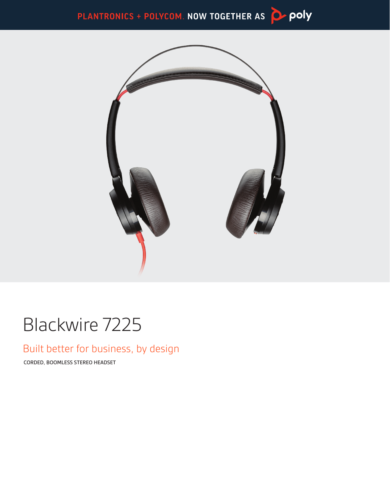



# Blackwire 7225

### Built better for business, by design

CORDED, BOOMLESS STEREO HEADSET